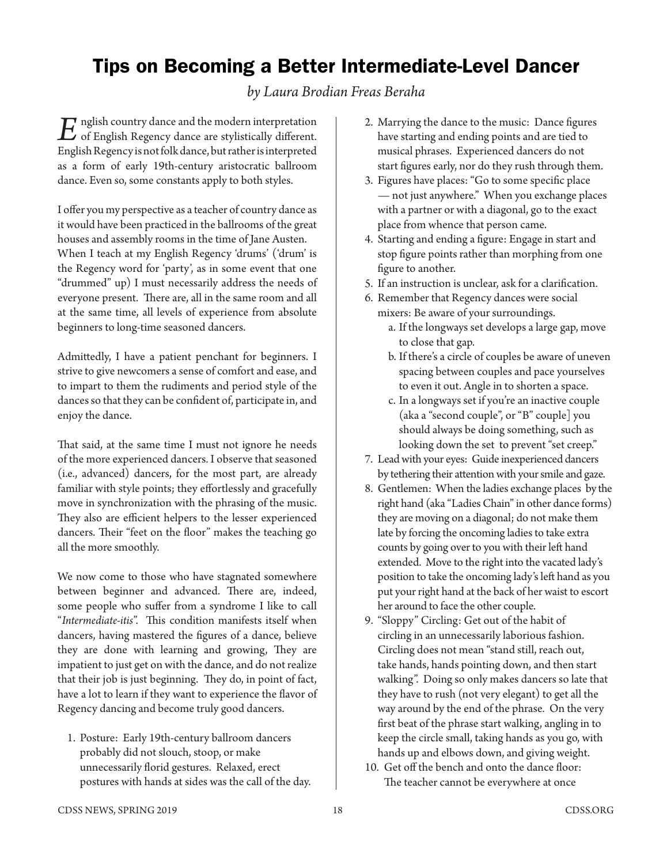## Tips on Becoming a Better Intermediate-Level Dancer

*by Laura Brodian Freas Beraha*

*E*nglish country dance and the modern interpretation of English Regency dance are stylistically different. English Regency is not folk dance, but rather is interpreted as a form of early 19th-century aristocratic ballroom dance. Even so, some constants apply to both styles.

I offer you my perspective as a teacher of country dance as it would have been practiced in the ballrooms of the great houses and assembly rooms in the time of Jane Austen. When I teach at my English Regency 'drums' ('drum' is the Regency word for 'party', as in some event that one "drummed" up) I must necessarily address the needs of everyone present. There are, all in the same room and all at the same time, all levels of experience from absolute beginners to long-time seasoned dancers.

Admittedly, I have a patient penchant for beginners. I strive to give newcomers a sense of comfort and ease, and to impart to them the rudiments and period style of the dances so that they can be confident of, participate in, and enjoy the dance.

That said, at the same time I must not ignore he needs of the more experienced dancers. I observe that seasoned (i.e., advanced) dancers, for the most part, are already familiar with style points; they effortlessly and gracefully move in synchronization with the phrasing of the music. They also are efficient helpers to the lesser experienced dancers. Their "feet on the floor" makes the teaching go all the more smoothly.

We now come to those who have stagnated somewhere between beginner and advanced. There are, indeed, some people who suffer from a syndrome I like to call "*Intermediate-itis*". This condition manifests itself when dancers, having mastered the figures of a dance, believe they are done with learning and growing, They are impatient to just get on with the dance, and do not realize that their job is just beginning. They do, in point of fact, have a lot to learn if they want to experience the flavor of Regency dancing and become truly good dancers.

1. Posture: Early 19th-century ballroom dancers probably did not slouch, stoop, or make unnecessarily florid gestures. Relaxed, erect postures with hands at sides was the call of the day.

- 2. Marrying the dance to the music: Dance figures have starting and ending points and are tied to musical phrases. Experienced dancers do not start figures early, nor do they rush through them.
- 3. Figures have places: "Go to some specific place — not just anywhere." When you exchange places with a partner or with a diagonal, go to the exact place from whence that person came.
- 4. Starting and ending a figure: Engage in start and stop figure points rather than morphing from one figure to another.
- 5. If an instruction is unclear, ask for a clarification.
- 6. Remember that Regency dances were social mixers: Be aware of your surroundings.
	- a. If the longways set develops a large gap, move to close that gap.
	- b. If there's a circle of couples be aware of uneven spacing between couples and pace yourselves to even it out. Angle in to shorten a space.
	- c. In a longways set if you're an inactive couple (aka a "second couple", or "B" couple] you should always be doing something, such as looking down the set to prevent "set creep."
- 7. Lead with your eyes: Guide inexperienced dancers by tethering their attention with your smile and gaze.
- 8. Gentlemen: When the ladies exchange places by the right hand (aka "Ladies Chain" in other dance forms) they are moving on a diagonal; do not make them late by forcing the oncoming ladies to take extra counts by going over to you with their left hand extended. Move to the right into the vacated lady's position to take the oncoming lady's left hand as you put your right hand at the back of her waist to escort her around to face the other couple.
- 9. "Sloppy" Circling: Get out of the habit of circling in an unnecessarily laborious fashion. Circling does not mean "stand still, reach out, take hands, hands pointing down, and then start walking". Doing so only makes dancers so late that they have to rush (not very elegant) to get all the way around by the end of the phrase. On the very first beat of the phrase start walking, angling in to keep the circle small, taking hands as you go, with hands up and elbows down, and giving weight.
- 10. Get off the bench and onto the dance floor: The teacher cannot be everywhere at once